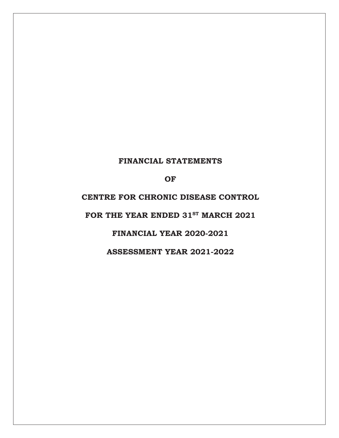# **FINANCIAL STATEMENTS**

**OF** 

**CENTRE FOR CHRONIC DISEASE CONTROL** 

FOR THE YEAR ENDED 31<sup>st</sup> MARCH 2021

**FINANCIAL YEAR 2020-2021** 

**ASSESSMENT YEAR 2021-2022**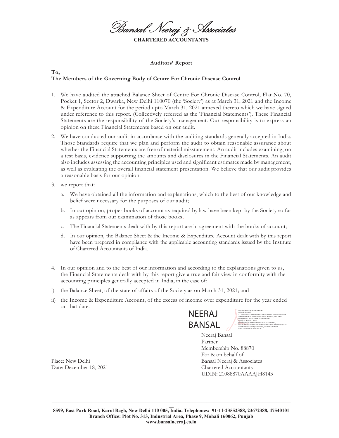Bansal Neeraj & Associates **CHARTERED ACCOUNTAN** 

#### **Auditors' Report**

#### **To, The Members of the Governing Body of Centre For Chronic Disease Control**

- 1. We have audited the attached Balance Sheet of Centre For Chronic Disease Control, Flat No. 70, Pocket 1, Sector 2, Dwarka, New Delhi 110070 (the 'Society') as at March 31, 2021 and the Income & Expenditure Account for the period upto March 31, 2021 annexed thereto which we have signed under reference to this report. (Collectively referred as the 'Financial Statements'). These Financial Statements are the responsibility of the Society's management. Our responsibility is to express an opinion on these Financial Statements based on our audit.
- 2. We have conducted our audit in accordance with the auditing standards generally accepted in India. Those Standards require that we plan and perform the audit to obtain reasonable assurance about whether the Financial Statements are free of material misstatement. An audit includes examining, on a test basis, evidence supporting the amounts and disclosures in the Financial Statements. An audit also includes assessing the accounting principles used and significant estimates made by management, as well as evaluating the overall financial statement presentation. We believe that our audit provides a reasonable basis for our opinion.
- 3. we report that:
	- a. We have obtained all the information and explanations, which to the best of our knowledge and belief were necessary for the purposes of our audit;
	- b. In our opinion, proper books of account as required by law have been kept by the Society so far as appears from our examination of those books;
	- c. The Financial Statements dealt with by this report are in agreement with the books of account;
	- d. In our opinion, the Balance Sheet & the Income & Expenditure Account dealt with by this report have been prepared in compliance with the applicable accounting standards issued by the Institute of Chartered Accountants of India.
- 4. In our opinion and to the best of our information and according to the explanations given to us, the Financial Statements dealt with by this report give a true and fair view in conformity with the accounting principles generally accepted in India, in the case of:
- i) the Balance Sheet, of the state of affairs of the Society as on March 31, 2021; and
- ii) the Income & Expenditure Account, of the excess of income over expenditure for the year ended on that date.



Digitally signed by NEERAJ BANSAL DN: c=IN, st=Delhi, 2.5.4.20=1df271c2e8a55e51956a3b8c275e9525c75796c455bc59758 734be364f97db31, postalCode=110005, street=84, EAST PARK ROAD, MODEL BASTI, KAROL BAGH, CENTRAL DELHI,DELHI,Delhi-110005, pseudonym=d1a88b11bd0c9051ebc300a74e4547b3, serialNumber=618cd8217f3579a8a5bf7435c751f8244022de998642d a798d94052ba5ea4142, o=Personal, cn=NEERAJ BANSAL

Date: 2021.12.18 21:28:09 +05'30'

Neeraj Bansal Partner Membership No. 88870 For & on behalf of Place: New Delhi Bansal Neeraj & Associates UDIN: 21088870AAAAJH8143

Date: December 18, 2021 Chartered Accountants

**BBBBBBBBBBBBBBBBBBBBBBBBBBBBBBBBBBBBBBBBBBBBBBBBBBBBBBBBBBBBBBBBBBBBBBBBBBBBBBBBBBBBBBBBBBBBBBBBBBBBBB BB**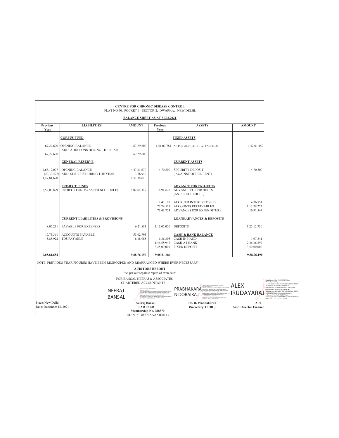|                                             |                                                                                     | <b>CENTRE FOR CHRONIC DISEASE CONTROL</b><br>FLAT NO.70, POCKET-1, SECTOR-2, DWARKA, NEW DELHI.      |                                        |                                                                                                      |                                         |
|---------------------------------------------|-------------------------------------------------------------------------------------|------------------------------------------------------------------------------------------------------|----------------------------------------|------------------------------------------------------------------------------------------------------|-----------------------------------------|
|                                             |                                                                                     | <b>BALANCE SHEET AS AT 31.03.2021</b>                                                                |                                        |                                                                                                      |                                         |
| <b>Previous</b><br>Year                     | <b>LIABILITIES</b>                                                                  | <b>AMOUNT</b>                                                                                        | Previous<br>Year                       | <b>ASSETS</b>                                                                                        | <b>AMOUNT</b>                           |
|                                             | <b>CORPUS FUND</b>                                                                  |                                                                                                      |                                        | <b>FIXED ASSETS</b>                                                                                  |                                         |
| 67,29,600<br>67,29,600                      | <b>OPENING BALANCE</b><br>ADD: ADDITIONS DURING THE YEAR                            | 67,29,600<br>67,29,600                                                                               |                                        | 1,51,07,781 (AS PER ANNEXURE ATTACHED)                                                               | 1,32,01,452                             |
|                                             | <b>GENERAL RESERVE</b>                                                              |                                                                                                      |                                        | <b>CURRENT ASSETS</b>                                                                                |                                         |
| 4,68,12,097<br>(20, 30, 427)<br>4,47,81,670 | <b>OPENING BALANCE</b><br>ADD: SURPLUS DURING THE YEAR                              | 4,47,81,670<br>3,56,940<br>4,51,38,610                                                               | 4,70,500                               | <b>SECURITY DEPOSIT</b><br>(AGAINST OFFICE RENT)                                                     | 4,70,500                                |
| 3,59,00,899                                 | <b>PROJECT FUNDS</b><br>PROJECT FUNDS (AS PER SCHEDULE)                             | 4,02,64,319                                                                                          | 14,91,628                              | <b>ADVANCE FOR PROJECTS</b><br><b>ADVANCE FOR PROJECTS</b><br>(AS PER SCHEDULE)                      |                                         |
|                                             |                                                                                     |                                                                                                      | 2,43,197<br>73,74,521<br>73,43,754     | <b>ACCRUED INTEREST ON FD</b><br><b>ACCOUNTS RECEIVABLES</b><br>ADVANCES FOR EXPENDITURE             | 4,76,751<br>1,13,79,273<br>10,91,544    |
|                                             | <b>CURRENT LIABILITIES &amp; PROVISIONS</b>                                         |                                                                                                      |                                        | <b>LOANS, ADVANCES &amp; DEPOSITS</b>                                                                |                                         |
| 8,05,231                                    | PAYABLE FOR EXPENSES                                                                | 6,21,881                                                                                             | 1,12,05,050                            | <b>DEPOSITS</b>                                                                                      | 1,25,12,730                             |
| 17,75,361<br>5,88,922                       | <b>ACCOUNTS PAYABLE</b><br><b>TDS PAYABLE</b>                                       | 53,02,795<br>8,18,985                                                                                | 1,86,305<br>1,46,58,947<br>3,25,00,000 | <b>CASH &amp; BANK BALANCE</b><br><b>CASH IN HAND</b><br><b>CASH AT BANK</b><br><b>FIXED DEPOSIT</b> | 1,07,341<br>2,46,36,599<br>3,50,00,000  |
| 9,05,81,684                                 |                                                                                     | 9,88,76,190                                                                                          | 9,05,81,684                            |                                                                                                      | 9,88,76,190                             |
|                                             | NOTE: PREVIOUS YEAR FIGURES HAVE BEEN REGROUPED AND REARRANGED WHERE EVER NECESSARY | "As per our separate report of even date"<br>FOR BANSAL NEERAJ & ASSOCIATES<br>CHARTERED ACCOUNTANTS | <b>AUDITORS REPORT</b>                 |                                                                                                      |                                         |
|                                             | <b>NEERAJ</b><br><b>BANSAL</b>                                                      |                                                                                                      | EdS2445140c200a744547b3                | 49-1205-207-24409-454000-<br>PRABHAKARA<br>N DORAIRAJ                                                | <b>ALEX</b><br>IRUDAYARA                |
| Place: New Delhi<br>Date: December 18, 2021 |                                                                                     | Neeraj Bansal<br><b>PARTNER</b><br>Membership No. 088870<br>UDIN: 21088870AAAAJH8143                 |                                        | Dr. D. Prabhakaran<br>(Secretary, CCDC)                                                              | Alex I<br><b>Asstt Director Finance</b> |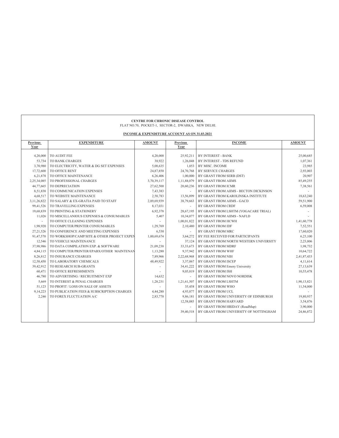|                         |                                             | <b>CENTRE FOR CHRONIC DISEASE CONTROL</b><br>FLAT NO.70, POCKET-1, SECTOR-2, DWARKA, NEW DELHI. |                         |                                        |               |
|-------------------------|---------------------------------------------|-------------------------------------------------------------------------------------------------|-------------------------|----------------------------------------|---------------|
|                         |                                             | INCOME & EXPENDITURE ACCOUNT AS ON 31.03.2021                                                   |                         |                                        |               |
| <b>Previous</b><br>Year | <b>EXPENDITURE</b>                          | <b>AMOUNT</b>                                                                                   | <b>Previous</b><br>Year | <b>INCOME</b>                          | <b>AMOUNT</b> |
|                         |                                             |                                                                                                 |                         |                                        |               |
| 4,20,000                | TO AUDIT FEE                                | 4,20,000                                                                                        | 25,92,211               | BY INTEREST - BANK                     | 25,00,685     |
| 53,734                  | TO BANK CHARGES                             | 38,922                                                                                          | 1,26,048                | BY INTEREST - TDS REFUND               | 1,07,361      |
| 3,70,980                | TO ELECTRICITY, WATER & DG SET EXPENSES     | 5,08,635                                                                                        | 1,053                   | BY MISC. INCOME                        | 23,985        |
| 17,72,600               | TO OFFICE RENT                              | 24,87,850                                                                                       | 24,70,768               | <b>BY SERVICE CHARGES</b>              | 2,93,003      |
| 6,21,878                | TO OFFICE MAINTENANCE                       | 6,26,406                                                                                        | 1,00,000                | BY GRANT FROM SERB (DST)               | 20,907        |
| 2,25,34,085             | TO PROFESSIONAL CHARGES                     | 3,70,39,117                                                                                     | 1,11,88,079             | BY GRANT FROM AIIMS                    | 85,49,255     |
| 44,77,665               | TO DEPRECIATION                             | 27,62,500                                                                                       | 20,60,236               | BY GRANT FROM ICMR                     | 7,38,561      |
| 8,51,838                | TO COMMUNICATION EXPENSES                   | 7,43,383                                                                                        |                         | BY GRANT FROM AIIMS - BECTON DICKINSON |               |
| 4,68,517                | TO WEBSITE MAINTENANCE                      | 2,58,783                                                                                        | 13,56,899               | BY GRANT FROM KAROLINSKA INSTITUTE     | 18,63,240     |
| 3,11,26,822             | TO SALARY & EX-GRATIA PAID TO STAFF         | 2,89,69,939                                                                                     | 38,79,663               | BY GRANT FROM AIIMS - GACD             | 59,51,900     |
| 99,41,526               | TO TRAVELLING EXPENSES                      | 8,17,031                                                                                        |                         | BY GRANT FROM CRDF                     | 6,59,008      |
| 19,68,839               | TO PRINTING & STATIONERY                    | 6,92,378                                                                                        | 28,67,195               | BY GRANT FROM LSHTM (YOGACARE TRIAL)   |               |
| 11,026                  | TO MISCELLANIOUS EXPENSES & CONSUMABLES     | 5,407                                                                                           | 10,34,077               | BY GRANT FROM AIIMS - NAFLD            |               |
|                         | TO OFFICE CLEANING EXPENSES                 |                                                                                                 | 1,00,01,822             | BY GRANT FROM HCWH                     | 1,41,60,778   |
| 1,98,920                | TO COMPUTER/PRINTER CONSUMABLES             | 1,29,769                                                                                        | 2,10,480                | BY GRANT FROM IDF                      | 7,52,551      |
| 27, 21, 526             | TO CONFERENCE AND MEETING EXPENSES          | 6,530                                                                                           |                         | BY GRANT FROM MRC                      | 17,60,020     |
| 91,47,570               | TO WORKSHOP/CAMP/SITE & OTHER PROJECT EXPEN | 1,00,69,674                                                                                     | 3,64,272                | BY FEE RECEIVED FOR PARTICIPANTS       | 6,23,100      |
| 12,546                  | TO VEHICLE MAINTENANCE                      |                                                                                                 | 37,124                  | BY GRANT FROM NORTH WESTERN UNIVERSITY | 2,23,806      |
| 37,98,986               | TO DATA COMPILATION EXP. & SOFTWARE         | 21,09,238                                                                                       | 33, 33, 673             | BY GRANT FROM MDRF                     | 1,98,732      |
| 4,84,115                | TO COMPUTER/PRINTER/EPABX/OTHER MAINTENAN   | 1,13,280                                                                                        | 9,37,942                | BY GRANT FROM WHF                      | 10,64,722     |
| 8,26,812                | TO INSURANCE CHARGES                        | 7,89,966                                                                                        | 2,22,68,968             | BY GRANT FROM NIH                      | 2,41,87,433   |
| 12,58,450               | TO LABORATORY CHEMICALS                     | 48,49,922                                                                                       | 3,37,067                | BY GRANT FROM ISCEP                    | 4,11,614      |
| 39,42,912               | TO RESEARCH SUB-GRANTS                      |                                                                                                 | 34,41,222               | BY GRANT FROM Emory University         | 27,13,639     |
| 60,471                  | TO OFFICE REFRESHMENTS                      |                                                                                                 | 9,05,819                | BY GRANT FROM ISH                      | 10,55,478     |
| 46,780                  | TO ADVERTISING / RECRUITMENT EXP            | 14,632                                                                                          |                         | BY GRANT FROM NOVO NORDISK             |               |
| 5,669                   | TO INTEREST & PENAL CHARGES                 | 1,28,231                                                                                        | 1,21,61,507             | BY GRANT FROM LSHTM                    | 1,90,13,821   |
| 51,123                  | TO PROFIT / LOSS ON SALE OF ASSETS          |                                                                                                 | 35,458                  | BY GRANT FROM WHO                      | 11,54,000     |
| 9,14,223                | TO PUBLICATION FEES & SUBSCRIPTION CHARGES  | 4,44,280                                                                                        | 4,93,877                | BY GRANT FROM UCL                      |               |
| 2,246                   | TO FOREX FLUCTUATION A/C                    | 2,83,770                                                                                        | 9.86.181                | BY GRANT FROM UNIVERSITY OF EDINBURGH  | 19,80,937     |
|                         |                                             |                                                                                                 | 12,58,085               | BY GRANT FROM HARVARD                  | 3,54,876      |
|                         |                                             |                                                                                                 |                         | BY GRANT FROM HRIDAY (RoadMap)         | 3,90,000      |
|                         |                                             |                                                                                                 | 39,40,518               | BY GRANT FROM UNIVERSITY OF NOTTINGHAM | 24,86,872     |
|                         |                                             |                                                                                                 |                         |                                        |               |
|                         |                                             |                                                                                                 |                         |                                        |               |

٦

 $\overline{1}$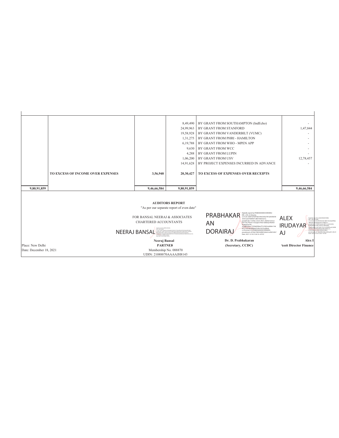|                                             |                                   |                                                                                                                                         | 8,49,490                                                                                    | BY GRANT FROM SOUTHAMPTON (IndEcho)                                                                                                                                      |                                                                                                                                                                                                                                      |
|---------------------------------------------|-----------------------------------|-----------------------------------------------------------------------------------------------------------------------------------------|---------------------------------------------------------------------------------------------|--------------------------------------------------------------------------------------------------------------------------------------------------------------------------|--------------------------------------------------------------------------------------------------------------------------------------------------------------------------------------------------------------------------------------|
|                                             |                                   |                                                                                                                                         | 24,99,963                                                                                   | BY GRANT FROM STANFORD                                                                                                                                                   | 1,47,844                                                                                                                                                                                                                             |
|                                             |                                   |                                                                                                                                         | 19,58,928                                                                                   | BY GRANT FROM VANDERBILT (VUMC)                                                                                                                                          |                                                                                                                                                                                                                                      |
|                                             |                                   |                                                                                                                                         | 1,31,275                                                                                    | BY GRANT FROM PHRI - HAMILTON                                                                                                                                            |                                                                                                                                                                                                                                      |
|                                             |                                   |                                                                                                                                         | 6,19,788                                                                                    | BY GRANT FROM WHO - MPEN APP                                                                                                                                             |                                                                                                                                                                                                                                      |
|                                             |                                   |                                                                                                                                         | 9.630                                                                                       | BY GRANT FROM WCC                                                                                                                                                        |                                                                                                                                                                                                                                      |
|                                             |                                   |                                                                                                                                         | 4,288                                                                                       | BY GRANT FROM LUPIN                                                                                                                                                      |                                                                                                                                                                                                                                      |
|                                             |                                   |                                                                                                                                         | 1,06,200                                                                                    | BY GRANT FROM USV                                                                                                                                                        | 12,78,457                                                                                                                                                                                                                            |
|                                             |                                   |                                                                                                                                         | 14,91,628                                                                                   | BY PROJECT EXPENSES INCURRED IN ADVANCE                                                                                                                                  |                                                                                                                                                                                                                                      |
|                                             | TO EXCESS OF INCOME OVER EXPENSES | 3,56,940                                                                                                                                | 20,30,427                                                                                   | TO EXCESS OF EXPENSES OVER RECEIPTS                                                                                                                                      |                                                                                                                                                                                                                                      |
|                                             |                                   |                                                                                                                                         |                                                                                             |                                                                                                                                                                          |                                                                                                                                                                                                                                      |
|                                             |                                   |                                                                                                                                         |                                                                                             |                                                                                                                                                                          |                                                                                                                                                                                                                                      |
| 9,80,91,859                                 |                                   | 9,46,66,584                                                                                                                             | 9,80,91,859                                                                                 |                                                                                                                                                                          | 9,46,66,584                                                                                                                                                                                                                          |
|                                             |                                   |                                                                                                                                         |                                                                                             |                                                                                                                                                                          |                                                                                                                                                                                                                                      |
|                                             |                                   |                                                                                                                                         |                                                                                             |                                                                                                                                                                          |                                                                                                                                                                                                                                      |
|                                             |                                   |                                                                                                                                         | <b>AUDITORS REPORT</b>                                                                      |                                                                                                                                                                          |                                                                                                                                                                                                                                      |
|                                             |                                   |                                                                                                                                         | "As per our separate report of even date"                                                   |                                                                                                                                                                          |                                                                                                                                                                                                                                      |
|                                             |                                   | FOR BANSAL NEERAJ & ASSOCIATES                                                                                                          |                                                                                             | Digitally signed by PRABHAKARAN DORAIRAJ<br>PRABHAKAR<br>DN: c=IN, st=Harvana.<br>2.5.4.20-2b837a7b454ab169e3305a787a2663b658<br>307d12e67909f5971d831f26653272.         | ALEX<br>Digitally st<br>wd by ALEX IRUDAYARA.<br>$DN: c = N$<br>Oally                                                                                                                                                                |
|                                             |                                   | <b>CHARTERED ACCOUNTANTS</b>                                                                                                            |                                                                                             | postalCode=122002. street=4621. Dahila Avenue<br>AN<br>DLF City, Phase-Iv Gurgaon Near Gallariya Market<br>Chakarpur(74),                                                | 25.420 <sup>-b</sup><br>e01d91859c9d21d8017b322bdf7f8c<br>2800e94s<br>540e86a4561599F40211<br>110059. street='W2-3, 2nd FLOOI<br>restalCo.                                                                                           |
|                                             |                                   | Dietally ganed by MERAJ ERISA<br>MAG-BL 4-DAM                                                                                           | 23.420-14071 (246x1541910x158x27)+9121x7179x411bc19718714b4144ft7dkd                        | serialNumber=747b805fbbcf77c55852cd089e114b<br>6f71f1eb74b0a86b647cf4c41b72e280ed.<br>o=Personal, cn=PRABHAKARAN DORAIRAJ,<br>pseudonym=d1f2dc7983326f081664a7ca584163b7 | <b>IRUDAYAR</b><br>LIGALL DAYAL SAR ROAD.<br>GANDHIW<br>serialtium.<br>Find Class 1974-7-2016 May 120 Filters<br>0001Av67a5a62x12600ha02Rv4x30hv7a<br>onPersonal, cnnALEX IRUDAYARAJ,<br>dc13de80f923fdbcd364aaefe1c40c20<br>pseudon |
|                                             |                                   | NEERAJ BANSAL<br>admitted and a resolution of the magnetic future model<br>4-Perseal or-NEEM/BANSAL<br>Date: 2021 12:18 21:28:42 +07:32 | pozaičode-110001, cavel-16, EAST FARK ROAD, MODEL EAST, KNRCK EASK, CENTRAL CENTRAL CENTRAL | <b>DORAIRAJ</b><br>Date: 2021.12.18 21:26:16 +05'30'                                                                                                                     | AJ<br>2.18.21:24:07 +05'30'<br>Date: 2021                                                                                                                                                                                            |
|                                             |                                   | Neeraj Bansal                                                                                                                           |                                                                                             | Dr. D. Prabhakaran                                                                                                                                                       | Alex 1                                                                                                                                                                                                                               |
| Place: New Delhi<br>Date: December 18, 2021 |                                   | <b>PARTNEE</b><br>Membership No. 088870                                                                                                 |                                                                                             | (Secretary, CCDC)                                                                                                                                                        | <b>Asstt Director Finance</b>                                                                                                                                                                                                        |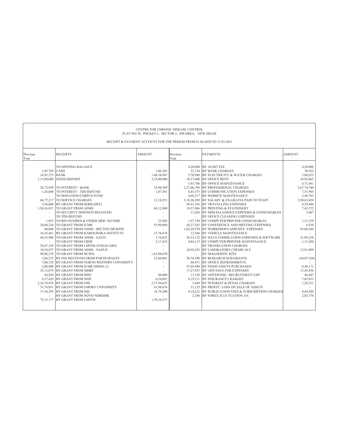| CENTRE FOR CHRONIC DISEASE CONTROL<br>FLAT NO.70, POCKET-1, SECTOR-2, DWARKA, NEW DELHI.<br>RECEIPT & PAYMENT ACCOUNT FOR THE PERIOD FROM 01.04.2020 TO 31.03.2021 |                                                                                                                                                                                                                                                                                                                                                                                                                                                                                                                                                                                                                                                                                                                                                                                                                                                                                                                                                                                                                                                                                             |                                                                                                                                                                                                                                                  |                                                              |                                                                                                                                                                                                                                                                                                                                                                                                                                                                                                                                                                                                                                                                                                                                                                                                                                                                                                                                                                                                                                                                                                                                                                                                                                      |                                                                                                                                                                                                                                                                                                                          |  |
|--------------------------------------------------------------------------------------------------------------------------------------------------------------------|---------------------------------------------------------------------------------------------------------------------------------------------------------------------------------------------------------------------------------------------------------------------------------------------------------------------------------------------------------------------------------------------------------------------------------------------------------------------------------------------------------------------------------------------------------------------------------------------------------------------------------------------------------------------------------------------------------------------------------------------------------------------------------------------------------------------------------------------------------------------------------------------------------------------------------------------------------------------------------------------------------------------------------------------------------------------------------------------|--------------------------------------------------------------------------------------------------------------------------------------------------------------------------------------------------------------------------------------------------|--------------------------------------------------------------|--------------------------------------------------------------------------------------------------------------------------------------------------------------------------------------------------------------------------------------------------------------------------------------------------------------------------------------------------------------------------------------------------------------------------------------------------------------------------------------------------------------------------------------------------------------------------------------------------------------------------------------------------------------------------------------------------------------------------------------------------------------------------------------------------------------------------------------------------------------------------------------------------------------------------------------------------------------------------------------------------------------------------------------------------------------------------------------------------------------------------------------------------------------------------------------------------------------------------------------|--------------------------------------------------------------------------------------------------------------------------------------------------------------------------------------------------------------------------------------------------------------------------------------------------------------------------|--|
| Previous<br>Year                                                                                                                                                   | <b>RECEIPTS</b>                                                                                                                                                                                                                                                                                                                                                                                                                                                                                                                                                                                                                                                                                                                                                                                                                                                                                                                                                                                                                                                                             | <b>AMOUNT</b>                                                                                                                                                                                                                                    | Previous<br>Year                                             | <b>PAYMENTS</b>                                                                                                                                                                                                                                                                                                                                                                                                                                                                                                                                                                                                                                                                                                                                                                                                                                                                                                                                                                                                                                                                                                                                                                                                                      | <b>AMOUNT</b>                                                                                                                                                                                                                                                                                                            |  |
| 2,45,769 CASH<br>24,85,573<br>44,53,996                                                                                                                            | TO OPENING BALANCE<br><b>BANK</b><br>3,15,00,000 FIXED DEPOSIT<br>26.73.939 TO INTEREST - BANK<br>1.26.048 TO INTEREST - TDS REFUND<br>TO DONATION/CORPUS FUND<br>64,77,217 TO SERVICE CHARGES<br>3,20,000 BY GRANT FROM SERB (DST)<br>1,50,16,051 TO GRANT FROM AIIMS<br>TO SECURITY DEPOSITS RECEIVED<br>TO TDS REFUND<br>1.053 TO RECOVERIES & OTHER MISC INCOME<br>20,60,236 TO GRANT FROM ICMR<br>60,000 TO GRANT FROM AIIMS - BECTON DICKINS<br>16,43,461 BY GRANT FROM KAROLINSKA INSTITUTE<br>TO GRANT FROM AIIMS - GACD<br>TO GRANT FROM CRDF<br>28,67,195 TO GRANT FROM LSHTM (YOGACARE)<br>10,34,077 TO GRANT FROM AIIMS - NAFLD<br>99,08,278 TO GRANT FROM HCWH<br>3,86,272 BY FEE RECEIVED FROM PARTICIPANTS<br>7,08,724 BY GRANT FROM NORTH WESTERN UNIVERSITY<br>2,00,000 BY GRANT FROM ICMR (DISHA 2)<br>32.13.074 BY GRANT FROM MDRF<br>44,820 BY GRANT FROM PHFI<br>4,37,429 BY GRANT FROM WHF<br>2,24,74,474 BY GRANT FROM NIH<br>53,74,051 BY GRANT FROM EMORY UNIVERSITY<br>17,54,295 BY GRANT FROM ISH<br>BY GRANT FROM NOVO NORDISK<br>73.15.177 BY GRANT FROM LSHTM | 1,86,305<br>1,46,58,947<br>3,25,00,000<br>23,98,389<br>1,07,361<br>12,18,251<br>69,12,908<br>23,985<br>55,99,000<br>15,76,678<br>5,79,623<br>2,17,418<br>1,63,88,670<br>23,88,001<br>88,800<br>6,34,091<br>2,57,30,655<br>61,98,076<br>18,79,200 | $\sim$<br>$\sim$<br>$\sim$<br>60,471<br>8,19,311<br>9,14,223 | 4,20,000 BY AUDIT FEE<br>53,734 BY BANK CHARGES<br>3,70,980 BY ELECTRICITY & WATER CHARGES<br>18,57,600 BY OFFICE RENT<br>5,83,786 BY OFFICE MAINTENANCE<br>2.27.06.709 BY PROFESSIONAL CHARGES<br>8.43.375 BY COMMUNICATION EXPENSES<br>4,68,517 BY WEBSITE MAINTENANCE<br>3,10,26,309 BY SALARY & EX-GRATIA PAID TO STAFF<br>99,41,526 BY TRAVELLING EXPENSES<br>19,57,886 BY PRINTING & STATIONERY<br>11,026 BY MISCELLANIOUS EXPENSES & CONSUMABLES<br>BY OFFICE CLEANING EXPENSES<br>1.97.150 BY COMPUTER/PRINTER CONSUMABLES<br>26.27.542 BY CONFERENCE AND MEETING EXPENSES<br>1,02,29,570 BY WORKSHOP/CAMP/SITE EXPENSES<br>12,546 BY VEHICLE MAINTENANCE<br>56,53,122 BY DATA COMPILATION EXPENSES & SOFTWARE<br>4,84,115 BY COMPUTER/PRINTER MAINTENANCE<br>BY TRANSLATION CHARGES<br>10,95,435 BY LABORATORY CHEMICALS<br>BY DIAGNOSTIC KITS<br>58,74,590 BY RESEARCH SUB-GRANTS<br>BY OFFICE REFRESHMENTS<br>53.03.948 BY FIXED ASSETS PURCHASED<br>17.27.953 BY ADVANCE FOR EXPENSES<br>13,150 BY ADVERTISE / RECRUITMENT EXP<br>BY INSURANCE CHARGES<br>5,669 BY INTEREST & PENAL CHARGES<br>51,123 BY PROFIT / LOSS ON SALE OF ASSETS<br>BY PUBLICATION FEES & SUBSCRIPTION CHARGES<br>2.246 BY FOREX FLUCTUATION A/C | 4,20,000<br>38,922<br>5,08,635<br>24,92,062<br>6,71,641<br>3,67,74,740<br>7,51,905<br>2,58,783<br>2,90,62,650<br>8,29,844<br>7,43,372<br>5,407<br>1,31,539<br>6.530<br>93,00,586<br>21,09,238<br>1,13,280<br>12,91,899<br>(54,07,520)<br>8.56.171<br>13,45,436<br>46,687<br>7,85,833<br>1,28,231<br>4,44,280<br>2,83,770 |  |
|                                                                                                                                                                    |                                                                                                                                                                                                                                                                                                                                                                                                                                                                                                                                                                                                                                                                                                                                                                                                                                                                                                                                                                                                                                                                                             | 1,70,10,557                                                                                                                                                                                                                                      |                                                              |                                                                                                                                                                                                                                                                                                                                                                                                                                                                                                                                                                                                                                                                                                                                                                                                                                                                                                                                                                                                                                                                                                                                                                                                                                      |                                                                                                                                                                                                                                                                                                                          |  |

 $\overline{\phantom{a}}$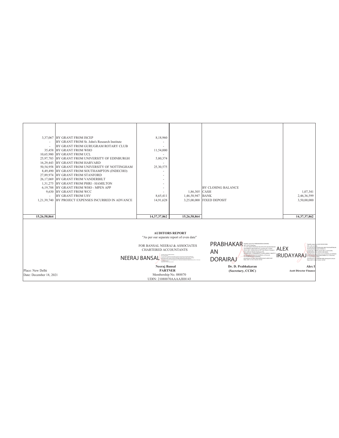|                         | 3,37,067 BY GRANT FROM ISCEP                            | 8,18,960                                                                      |                                                                                                                                                    |                                                                                                                                                                            |                                                                                                                                    |
|-------------------------|---------------------------------------------------------|-------------------------------------------------------------------------------|----------------------------------------------------------------------------------------------------------------------------------------------------|----------------------------------------------------------------------------------------------------------------------------------------------------------------------------|------------------------------------------------------------------------------------------------------------------------------------|
|                         | BY GRANT FROM St. John's Research Institute             |                                                                               |                                                                                                                                                    |                                                                                                                                                                            |                                                                                                                                    |
|                         | BY GRANT FROM GURUGRAM ROTARY CLUB                      |                                                                               |                                                                                                                                                    |                                                                                                                                                                            |                                                                                                                                    |
|                         | 35,458 BY GRANT FROM WHO<br>10,65,980 BY GRANT FROM UCL | 11,54,000                                                                     |                                                                                                                                                    |                                                                                                                                                                            |                                                                                                                                    |
|                         | 25,97,783 BY GRANT FROM UNIVERSITY OF EDINBURGH         | 5,80,374                                                                      |                                                                                                                                                    |                                                                                                                                                                            |                                                                                                                                    |
|                         | 16,29,443 BY GRANT FROM HARVARD                         |                                                                               |                                                                                                                                                    |                                                                                                                                                                            |                                                                                                                                    |
|                         | 50,54,958 BY GRANT FROM UNIVERSITY OF NOTTINGHAM        | 25,30,575                                                                     |                                                                                                                                                    |                                                                                                                                                                            |                                                                                                                                    |
|                         | 8,49,490 BY GRANT FROM SOUTHAMPTON (INDECHO)            |                                                                               |                                                                                                                                                    |                                                                                                                                                                            |                                                                                                                                    |
|                         | 27,89,974 BY GRANT FROM STANFORD                        |                                                                               |                                                                                                                                                    |                                                                                                                                                                            |                                                                                                                                    |
|                         | 26.17.069 BY GRANT FROM VANDERBILT                      |                                                                               |                                                                                                                                                    |                                                                                                                                                                            |                                                                                                                                    |
|                         | 1,31,275 BY GRANT FROM PHRI - HAMILTON                  |                                                                               |                                                                                                                                                    |                                                                                                                                                                            |                                                                                                                                    |
|                         | 6.19.788 BY GRANT FROM WHO - MPEN APP                   |                                                                               |                                                                                                                                                    | <b>BY CLOSING BALANCE</b>                                                                                                                                                  |                                                                                                                                    |
|                         | 9,630 BY GRANT FROM WCC<br><b>BY GRANT FROM USV</b>     | 8,65,411                                                                      | 1,86,305 CASH<br>1,46,58,947                                                                                                                       | <b>BANK</b>                                                                                                                                                                | 1,07,341<br>2,46,36,599                                                                                                            |
|                         | 1,21,39,740 BY PROJECT EXPENSES INCURRED IN ADVANCE     | 14,91,628                                                                     | 3,25,00,000                                                                                                                                        | <b>FIXED DEPOSIT</b>                                                                                                                                                       | 3,50,00,000                                                                                                                        |
|                         |                                                         |                                                                               |                                                                                                                                                    |                                                                                                                                                                            |                                                                                                                                    |
|                         |                                                         |                                                                               |                                                                                                                                                    |                                                                                                                                                                            |                                                                                                                                    |
|                         |                                                         |                                                                               |                                                                                                                                                    |                                                                                                                                                                            |                                                                                                                                    |
| 15,26,58,864            |                                                         | 14,37,37,862                                                                  | 15,26,58,864                                                                                                                                       |                                                                                                                                                                            | 14,37,37,862                                                                                                                       |
|                         |                                                         | <b>AUDITORS REPORT</b><br>"As per our separate report of even date"           |                                                                                                                                                    | <b>PRABHAKAR</b> DRAFT OF ON ONE ON ONE ONLY THE DESCRIPTION OF THE ORIGINAL STATES                                                                                        | v ALEX IRUDAYAR<br>Digitally signed                                                                                                |
|                         |                                                         | FOR BANSAL NEERAJ & ASSOCIATES                                                |                                                                                                                                                    | 2.5.4.20-2b837a7b454ab169e3305a787a2663b658307d1<br>2e67909f5971d831f26653272, postalCode=122002,                                                                          | DN: c=IN_st=<br>2.5.4.20-621e<br>ALEX<br>99x94cb5340s<br>456150060711                                                              |
|                         |                                                         | CHARTERED ACCOUNTANTS                                                         |                                                                                                                                                    | street=4621, Dahila Avenue DLF City, Phase-iv Gurgaon<br>AN<br>Near Gallariya Market Chakarpur(74).<br>setialNumber=747b805fbbcf77c55852cd089e114b6f71                     | postalCoder<br>59. street-WZ-3, 2nd<br><b>GANDHIWALI</b><br>LL DAYAL SAR ROAD<br>7a461153c7c297bf45                                |
|                         |                                                         | NEERAJ BANSAL<br>114 YO ARTS NAME OF BRIDE<br>Date 2021 12:38 21:09:00 +01'00 | 110005, sinnium and their PARK ROAD, MODEL BASIT, KAROL BAGIK, CENTRAL<br>DE-H.OEU4.Debr 11000), aranglomew called to 100-901 (eds.000x76+0) Child | eb74b0a86b647cf4c41b72e280ed, o=Personal,<br>cn=PRABHAKARAN DORAIRAJ.<br><b>DORAIRAJ</b><br>pseudonym=d1f2dc7983326f081664a7ca584163b7<br>Date: 2021 12:18:21-26-30 +05°60 | <b>IRUDAYARAJ</b><br>91dc67a5e82<br>credit FX (RUD)<br>ARA1<br>Maddition Millwrd<br>pseudonym<br>1212423+05'30'<br>Date: 2021.12.1 |
|                         |                                                         | Neeraj Bansal                                                                 |                                                                                                                                                    | Dr. D. Prabhakaran                                                                                                                                                         | Alex I                                                                                                                             |
| Place: New Delhi        |                                                         | <b>PARTNER</b>                                                                |                                                                                                                                                    | (Secretary, CCDC)                                                                                                                                                          | <b>Asstt Director Finance</b>                                                                                                      |
| Date: December 18, 2021 |                                                         | Membership No. 088870                                                         |                                                                                                                                                    |                                                                                                                                                                            |                                                                                                                                    |
|                         |                                                         | UDIN: 21088870AAAAJH8143                                                      |                                                                                                                                                    |                                                                                                                                                                            |                                                                                                                                    |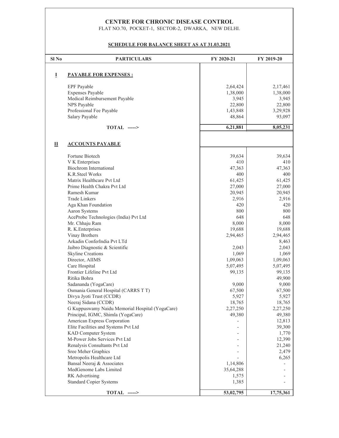## CENTRE FOR CHRONIC DISEASE CONTROL

FLAT NO.70, POCKET-1, SECTOR-2, DWARKA, NEW DELHI.

### **SCHEDULE FOR BALANCE SHEET AS AT 31.03.2021**

| Sl No | <b>PARTICULARS</b>                              | FY 2020-21 | FY 2019-20 |
|-------|-------------------------------------------------|------------|------------|
|       |                                                 |            |            |
| I     | <b>PAYABLE FOR EXPENSES :</b>                   |            |            |
|       | <b>EPF</b> Payable                              | 2,64,424   | 2,17,461   |
|       | <b>Expenses Payable</b>                         | 1,38,000   | 1,38,000   |
|       | Medical Reimbursement Payable                   | 3,945      | 3,945      |
|       | NPS Payable                                     | 22,800     | 22,800     |
|       | Professional Fee Payable                        | 1,43,848   | 3,29,928   |
|       | Salary Payable                                  | 48,864     | 93,097     |
|       | $TOTAL$ ----->                                  | 6,21,881   | 8,05,231   |
|       |                                                 |            |            |
| П     | <b>ACCOUNTS PAYABLE</b>                         |            |            |
|       | Fortune Biotech                                 | 39,634     | 39,634     |
|       | V K Enterprises                                 | 410        | 410        |
|       | <b>Biochrom</b> International                   | 47,363     | 47,363     |
|       | K.R.Steel Works                                 | 400        | 400        |
|       | Matrix Healthcare Pvt Ltd                       | 61,425     | 61,425     |
|       | Prime Health Chakra Pvt Ltd                     | 27,000     | 27,000     |
|       | Ramesh Kumar                                    | 20,945     | 20,945     |
|       | <b>Trade Linkers</b>                            | 2,916      | 2,916      |
|       | Aga Khan Foundation                             | 420        | 420        |
|       | Aaron Systems                                   | 800        | 800        |
|       | AceProbe Technologies (India) Pvt Ltd           | 648        | 648        |
|       | Mr. Chhaju Ram                                  | 8,000      | 8,000      |
|       | R. K. Enterprises                               | 19,688     | 19,688     |
|       | Vinay Brothers                                  | 2,94,465   | 2,94,465   |
|       | Arkadin ConferIndia Pvt LTd                     |            | 8,463      |
|       | Jaibro Diagnostic & Scientific                  | 2,043      | 2,043      |
|       | <b>Skyline Creations</b>                        | 1,069      | 1,069      |
|       | Director, AIIMS                                 | 1,09,063   | 1,09,063   |
|       | Care Hospital                                   | 5,07,495   | 5,07,495   |
|       | Frontier Lifeline Pvt Ltd                       | 99,135     | 99,135     |
|       | Ritika Bohra                                    |            | 49,900     |
|       | Sadananda (YogaCare)                            | 9,000      | 9,000      |
|       | Osmania General Hospital (CARRS T T)            | 67,500     | 67,500     |
|       | Divya Jyoti Trust (CCDR)                        | 5,927      | 5,927      |
|       | Neeraj Sidana (CCDR)                            | 18,765     | 18,765     |
|       | G Kuppuswamy Naidu Memorial Hospital (YogaCare) | 2,27,250   | 2,27,250   |
|       | Principal, IGMC, Shimla (YogaCare)              | 49,380     | 49,380     |
|       | American Express Corporation                    |            | 12,813     |
|       | Elite Facilities and Systems Pvt Ltd            |            | 39,300     |
|       | KAD Computer System                             |            | 1,770      |
|       | M-Power Jobs Services Pvt Ltd                   |            | 12,390     |
|       | Renalysis Consultants Pvt Ltd                   |            | 21,240     |
|       | Sree Meher Graphics                             |            | 2,479      |
|       | Metropolis Healthcare Ltd                       |            | 6,265      |
|       | Bansal Neeraj & Associates                      | 1,14,806   |            |
|       | MedGenome Labs Limited                          | 35,64,288  |            |
|       | RK Advertising                                  | 1,575      |            |
|       | <b>Standard Copier Systems</b>                  | 1,385      |            |
|       | $TOTAL$ ----->                                  | 53,02,795  | 17,75,361  |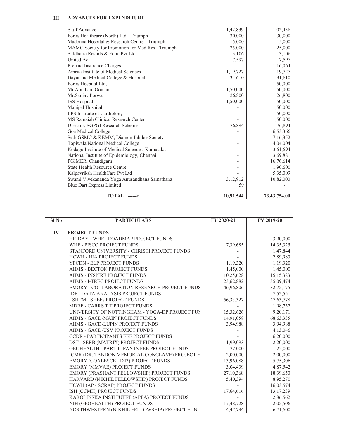| Ш | <b>ADVANCES FOR EXPENDITURE</b>                  |           |              |
|---|--------------------------------------------------|-----------|--------------|
|   | <b>Staff Advance</b>                             | 1,42,839  | 1,02,436     |
|   | Fortis Healthcare (North) Ltd - Triumph          | 30,000    | 30,000       |
|   | Madonna Hospital & Research Centre - Triumph     | 15,000    | 15,000       |
|   | MAMC Society for Promotion for Med Res - Triumph | 25,000    | 25,000       |
|   | Siddharta Resorts & Food Pvt Ltd.                | 3,106     | 3,106        |
|   | United Ad                                        | 7,597     | 7,597        |
|   | Prepaid Insurance Charges                        |           | 1,16,064     |
|   | Amrita Institute of Medical Sciences             | 1,19,727  | 1, 19, 727   |
|   | Dayanand Medical College & Hospital              | 31,610    | 31,610       |
|   | Fortis Hospital Ltd,                             |           | 1,50,000     |
|   | Mr. Abraham Ooman                                | 1,50,000  | 1,50,000     |
|   | Mr.Sanjay Porwal                                 | 26,800    | 26,800       |
|   | <b>JSS Hospital</b>                              | 1,50,000  | 1,50,000     |
|   | Manipal Hospital                                 |           | 1,50,000     |
|   | LPS Institute of Cardiology                      |           | 50,000       |
|   | MS Ramaiah Clinical Research Center              |           | 1,50,000     |
|   | Director, SGPGI Research Scheme                  | 76,894    | 76,894       |
|   | Goa Medical College                              |           | 6,53,366     |
|   | Seth GSMC & KEMM, Diamon Jubilee Society         |           | 7,16,352     |
|   | Topiwala National Medical College                |           | 4,04,004     |
|   | Kodagu Institute of Medical Sciences, Karnataka  |           | 3,61,694     |
|   | National Institute of Epidemiology, Chennai      |           | 3,69,881     |
|   | PGIMER, Chandigarh                               |           | 16,76,614    |
|   | <b>State Health Resource Centre</b>              |           | 1,90,600     |
|   | Kalpavriksh HealthCare Pvt Ltd                   |           | 5,35,009     |
|   | Swami Vivekananda Yoga Anusandhana Samsthana     | 3,12,912  | 10,82,000    |
|   | <b>Blue Dart Express Limited</b>                 | 59        |              |
|   | $TOTAL$ ---->                                    | 10,91,544 | 73,43,754.00 |

| Sl <sub>No</sub>          | <b>PARTICULARS</b>                                  | FY 2020-21  | FY 2019-20  |
|---------------------------|-----------------------------------------------------|-------------|-------------|
| $\underline{\mathbf{IV}}$ | <b>PROJECT FUNDS</b>                                |             |             |
|                           | HRIDAY - WHF - ROADMAP PROJECT FUNDS                |             | 3,90,000    |
|                           | WHF - PISCO PROJECT FUNDS                           | 7,39,685    | 14,35,325   |
|                           | STANFORD UNIVERSITY - CHRISTI PROJECT FUNDS         |             | 1,47,844    |
|                           | <b>HCWH - HIA PROJECT FUNDS</b>                     |             | 2,89,983    |
|                           | YPCDN - ELP PROJECT FUNDS                           | 1,19,320    | 1,19,320    |
|                           | <b>AIIMS - BECTON PROJECT FUNDS</b>                 | 1,45,000    | 1,45,000    |
|                           | AIIMS - INSPIRE PROJECT FUNDS                       | 10,25,628   | 15, 15, 383 |
|                           | <b>AIIMS - I-TREC PROJECT FUNDS</b>                 | 23,62,882   | 35,09,474   |
|                           | <b>EMORY - COLLABORATION RESEARCH PROJECT FUNDS</b> | 46,96,806   | 32,75,175   |
|                           | <b>IDF - DATA ANALYSIS PROJECT FUNDS</b>            |             | 7,52,551    |
|                           | <b>LSHTM - SHEFs PROJECT FUNDS</b>                  | 56, 33, 327 | 47,63,778   |
|                           | MDRF - CARRS T T PROJECT FUNDS                      |             | 1,98,732    |
|                           | UNIVERSITY OF NOTTINGHAM - YOGA-DP PROJECT FUJ      | 15,32,626   | 9,20,171    |
|                           | AIIMS - GACD-MAIN PROJECT FUNDS                     | 14,91,058   | 68, 63, 335 |
|                           | AIIMS - GACD-LUPIN PROJECT FUNDS                    | 3,94,988    | 3,94,988    |
|                           | AIIMS - GACD-USV PROJECT FUNDS                      |             | 4,13,046    |
|                           | <b>CCDR - PARTICIPANTS FEE PROJECT FUNDS</b>        |             | 6,20,000    |
|                           | DST - SERB (MATRIX) PROJECT FUNDS                   | 1,99,093    | 2,20,000    |
|                           | GEOHEALTH - PARTICIPANTS FEE PROJECT FUNDS          | 22,000      | 22,000      |
|                           | ICMR (DR. TANDON MEMORIAL CONCLAVE) PROJECT F       | 2,00,000    | 2,00,000    |
|                           | <b>EMORY (COALESCE - D43) PROJECT FUNDS</b>         | 13,96,088   | 5,75,306    |
|                           | EMORY (MMVAE) PROJECT FUNDS                         | 3,04,439    | 4,87,542    |
|                           | EMORY (PRASHANT FELLOWSHIP) PROJECT FUNDS           | 27,10,368   | 18,39,650   |
|                           | HARVARD (NIKHIL FELLOWSHIP) PROJECT FUNDS           | 5,40,394    | 8,95,270    |
|                           | HCWH (AP - SCRAP) PROJECT FUNDS                     |             | 16,03,574   |
|                           | ISH (CCMH) PROJECT FUNDS                            | 17,64,616   | 13, 17, 239 |
|                           | KAROLINSKA INSTITUTET (APEA) PROJECT FUNDS          |             | 2,86,562    |
|                           | NIH (GEOHEALTH) PROJECT FUNDS                       | 17,48,728   | 2,05,506    |
|                           | NORTHWESTERN (NIKHIL FELLOWSHIP) PROJECT FUNI       | 4,47,794    | 6,71,600    |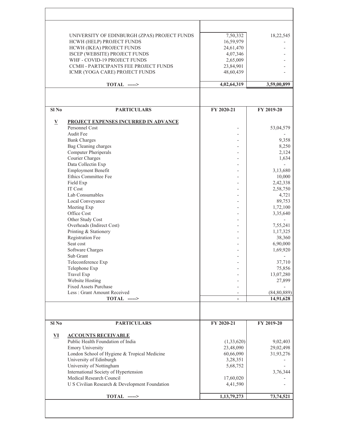|                          | UNIVERSITY OF EDINBURGH (ZPAS) PROJECT FUNDS                      | 7,50,332    | 18,22,545          |
|--------------------------|-------------------------------------------------------------------|-------------|--------------------|
|                          | HCWH (HELP) PROJECT FUNDS                                         | 16,59,979   |                    |
|                          | HCWH (IKEA) PROJECT FUNDS                                         | 24,61,470   |                    |
|                          | ISCEP (WEBSITE) PROJECT FUNDS                                     | 4,07,346    |                    |
|                          | WHF - COVID-19 PROJECT FUNDS                                      | 2,65,009    |                    |
|                          | CCMH - PARTICIPANTS FEE PROJECT FUNDS                             | 23,84,901   |                    |
|                          | ICMR (YOGA CARE) PROJECT FUNDS                                    | 48,60,439   |                    |
|                          | TOTAL ----->                                                      | 4,02,64,319 | 3,59,00,899        |
|                          |                                                                   |             |                    |
| Sl <sub>No</sub>         | <b>PARTICULARS</b>                                                | FY 2020-21  | FY 2019-20         |
|                          |                                                                   |             |                    |
| $\underline{\mathbf{V}}$ | PROJECT EXPENSES INCURRED IN ADVANCE                              |             |                    |
|                          | Personnel Cost<br>Audit Fee                                       |             | 53,04,579          |
|                          | <b>Bank Charges</b>                                               |             | 9,358              |
|                          | Bag Cleaning charges                                              |             | 8,250              |
|                          | <b>Computer Pheriperals</b>                                       |             | 2,124              |
|                          | Courier Charges                                                   |             | 1,634              |
|                          | Data Collectin Exp                                                |             |                    |
|                          | <b>Employment Benefit</b>                                         |             | 3,13,680           |
|                          | Ethics Committee Fee                                              |             | 10,000             |
|                          | Field Exp                                                         |             | 2,42,338           |
|                          | IT Cost                                                           |             | 2,58,750           |
|                          | Lab Consumables                                                   |             | 4,721              |
|                          | Local Conveyance                                                  |             | 89,753             |
|                          | Meeting Exp                                                       |             | 1,72,100           |
|                          | Office Cost                                                       |             | 3,35,640           |
|                          | Other Study Cost                                                  |             |                    |
|                          | Overheads (Indirect Cost)                                         |             | 7,55,241           |
|                          | Printing & Stationery                                             |             | 1,17,325           |
|                          | Registration Fee<br>Seat cost                                     |             | 38,360<br>6,90,000 |
|                          | Software Charges                                                  |             | 1,69,920           |
|                          | Sub Grant                                                         |             |                    |
|                          | Teleconference Exp                                                |             | 37,710             |
|                          | Telephone Exp                                                     |             | 75,856             |
|                          | Travel Exp                                                        |             | 13,07,280          |
|                          | Website Hosting                                                   |             | 27,899             |
|                          | <b>Fixed Assets Purchase</b>                                      |             |                    |
|                          | Less: Grant Amount Received                                       |             | (84, 80, 889)      |
|                          | TOTAL ----->                                                      |             | 14,91,628          |
|                          |                                                                   |             |                    |
| Sl <sub>No</sub>         | <b>PARTICULARS</b>                                                | FY 2020-21  | FY 2019-20         |
|                          |                                                                   |             |                    |
| ${\bf v}$                | <b>ACCOUNTS RECEIVABLE</b>                                        |             |                    |
|                          | Public Health Foundation of India                                 | (1,33,620)  | 9,02,403           |
|                          | <b>Emory University</b>                                           | 23,48,090   | 29,02,498          |
|                          | London School of Hygiene & Tropical Medicine                      | 60,66,090   | 31,93,276          |
|                          | University of Edinburgh                                           | 3,28,351    |                    |
|                          | University of Nottingham                                          | 5,68,752    |                    |
|                          | International Society of Hypertension<br>Medical Research Council |             | 3,76,344           |
|                          |                                                                   | 17,60,020   |                    |
|                          | U S Civilian Research & Development Foundation                    | 4,41,590    |                    |
|                          | TOTAL ----->                                                      | 1,13,79,273 | 73,74,521          |
|                          |                                                                   |             |                    |
|                          |                                                                   |             |                    |
|                          |                                                                   |             |                    |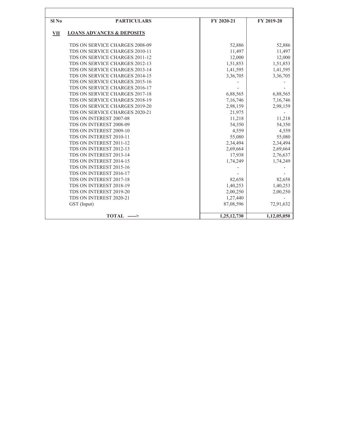| Sl <sub>No</sub> | <b>PARTICULARS</b>                   | FY 2020-21  | FY 2019-20  |
|------------------|--------------------------------------|-------------|-------------|
| VII              | <b>LOANS ADVANCES &amp; DEPOSITS</b> |             |             |
|                  | TDS ON SERVICE CHARGES 2008-09       | 52,886      | 52,886      |
|                  | TDS ON SERVICE CHARGES 2010-11       | 11,497      | 11,497      |
|                  | TDS ON SERVICE CHARGES 2011-12       | 12,000      | 12,000      |
|                  | TDS ON SERVICE CHARGES 2012-13       | 1,51,853    | 1,51,853    |
|                  | TDS ON SERVICE CHARGES 2013-14       | 1,41,595    | 1,41,595    |
|                  | TDS ON SERVICE CHARGES 2014-15       | 3,36,705    | 3,36,705    |
|                  | TDS ON SERVICE CHARGES 2015-16       |             |             |
|                  | TDS ON SERVICE CHARGES 2016-17       |             |             |
|                  | TDS ON SERVICE CHARGES 2017-18       | 6,88,565    | 6,88,565    |
|                  | TDS ON SERVICE CHARGES 2018-19       | 7,16,746    | 7,16,746    |
|                  | TDS ON SERVICE CHARGES 2019-20       | 2,98,159    | 2,98,159    |
|                  | TDS ON SERVICE CHARGES 2020-21       | 21,975      |             |
|                  | TDS ON INTEREST 2007-08              | 11,218      | 11,218      |
|                  | TDS ON INTEREST 2008-09              | 54,350      | 54,350      |
|                  | TDS ON INTEREST 2009-10              | 4,559       | 4,559       |
|                  | TDS ON INTEREST 2010-11              | 55,080      | 55,080      |
|                  | TDS ON INTEREST 2011-12              | 2,34,494    | 2,34,494    |
|                  | TDS ON INTEREST 2012-13              | 2,69,664    | 2,69,664    |
|                  | TDS ON INTEREST 2013-14              | 17,938      | 2,76,637    |
|                  | TDS ON INTEREST 2014-15              | 1,74,249    | 1,74,249    |
|                  | TDS ON INTEREST 2015-16              |             |             |
|                  | TDS ON INTEREST 2016-17              |             |             |
|                  | TDS ON INTEREST 2017-18              | 82,658      | 82,658      |
|                  | TDS ON INTEREST 2018-19              | 1,40,253    | 1,40,253    |
|                  | TDS ON INTEREST 2019-20              | 2,00,250    | 2,00,250    |
|                  | TDS ON INTEREST 2020-21              | 1,27,440    |             |
|                  | GST (Input)                          | 87,08,596   | 72,91,632   |
|                  |                                      |             |             |
|                  | <b>TOTAL</b> ----->                  | 1,25,12,730 | 1,12,05,050 |